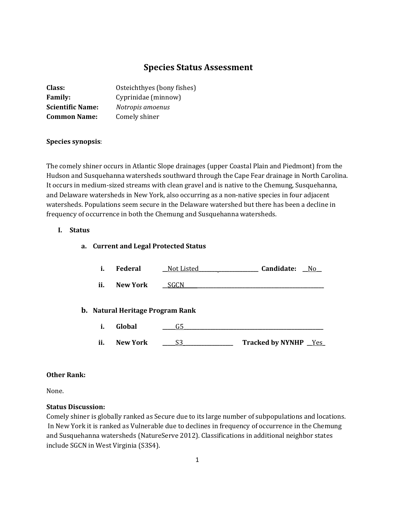# **Species Status Assessment**

| <b>Class:</b>           | Osteichthyes (bony fishes) |
|-------------------------|----------------------------|
| <b>Family:</b>          | Cyprinidae (minnow)        |
| <b>Scientific Name:</b> | Notropis amoenus           |
| <b>Common Name:</b>     | Comely shiner              |

## **Species synopsis**:

The comely shiner occurs in Atlantic Slope drainages (upper Coastal Plain and Piedmont) from the Hudson and Susquehanna watersheds southward through the Cape Fear drainage in North Carolina. It occurs in medium-sized streams with clean gravel and is native to the Chemung, Susquehanna, and Delaware watersheds in New York, also occurring as a non-native species in four adjacent watersheds. Populations seem secure in the Delaware watershed but there has been a decline in frequency of occurrence in both the Chemung and Susquehanna watersheds.

## **I. Status**

#### **a. Current and Legal Protected Status**

| i.  | Federal                                 |      | Candidate: No          |
|-----|-----------------------------------------|------|------------------------|
| ii. | New York                                | SGCN |                        |
|     | <b>b.</b> Natural Heritage Program Rank |      |                        |
| i.  | Global                                  | G5   |                        |
| ii. | <b>New York</b>                         | S3   | Tracked by NYNHP _Yes_ |

#### **Other Rank:**

None.

#### **Status Discussion:**

Comely shiner is globally ranked as Secure due to its large number of subpopulations and locations. In New York it is ranked as Vulnerable due to declines in frequency of occurrence in the Chemung and Susquehanna watersheds (NatureServe 2012). Classifications in additional neighbor states include SGCN in West Virginia (S3S4).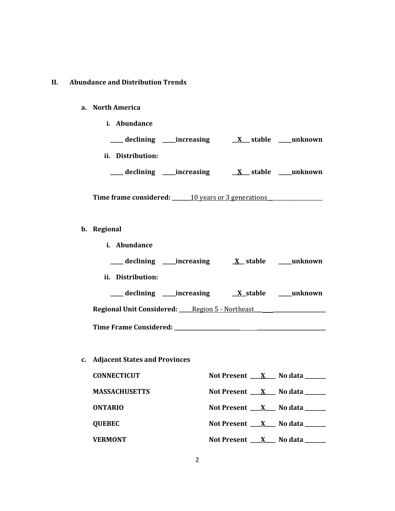#### **II. Abundance and Distribution Trends**

#### **a. North America**

**i. Abundance \_\_\_\_\_ declining \_\_\_\_\_increasing \_\_X\_\_\_ stable \_\_\_\_\_unknown ii. Distribution: \_\_\_\_\_ declining \_\_\_\_\_increasing \_\_X\_\_\_ stable \_\_\_\_\_unknown**

Time frame considered: 10 years or 3 generations

- **b. Regional** 
	- **i. Abundance**
	- **\_\_\_\_\_ declining \_\_\_\_\_increasing \_X\_\_ stable \_\_\_\_\_unknown**
	- **ii. Distribution:**

**\_\_\_\_\_ declining \_\_\_\_\_increasing \_\_X \_stable \_\_\_\_\_unknown Regional Unit Considered: \_\_\_\_\_**Region 5 - Northeast**\_\_\_ \_\_\_\_\_\_\_\_\_\_\_\_\_\_\_\_\_\_\_\_**

**Time Frame Considered: \_\_\_\_\_\_\_\_\_\_\_\_\_\_\_\_\_\_\_\_\_\_\_\_\_ \_\_\_\_\_\_\_\_\_\_\_\_\_\_\_\_\_\_\_\_\_\_\_\_\_\_**

**c. Adjacent States and Provinces**

| <b>CONNECTICUT</b>   | Not Present $X$ No data $\frac{1}{1}$   |
|----------------------|-----------------------------------------|
| <b>MASSACHUSETTS</b> | Not Present $X$ No data $\frac{1}{1}$   |
| <b>ONTARIO</b>       | Not Present $X$ No data $\frac{1}{1}$   |
| <b>QUEBEC</b>        | Not Present $X$ No data                 |
| <b>VERMONT</b>       | Not Present $X$ No data $\frac{1}{1-x}$ |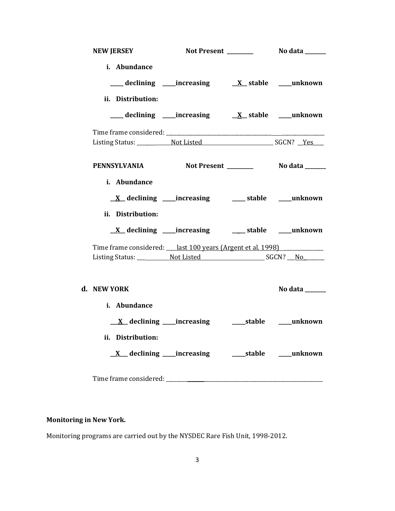| <b>NEW JERSEY</b>                                              |                                                             |                |
|----------------------------------------------------------------|-------------------------------------------------------------|----------------|
| i. Abundance<br>ii. Distribution:                              |                                                             |                |
|                                                                |                                                             |                |
|                                                                |                                                             |                |
| <b>PENNSYLVANIA</b>                                            |                                                             |                |
| i. Abundance<br>ii. Distribution:                              |                                                             |                |
|                                                                | <u>X</u> declining ____increasing ______ stable ____unknown |                |
| Time frame considered: ___ last 100 years (Argent et al. 1998) |                                                             |                |
|                                                                |                                                             |                |
| d. NEW YORK                                                    |                                                             | No data ______ |
| i. Abundance                                                   |                                                             |                |
| ii. Distribution:                                              |                                                             |                |
| Time frame considered: ______                                  |                                                             |                |

# **Monitoring in New York.**

Monitoring programs are carried out by the NYSDEC Rare Fish Unit, 1998-2012.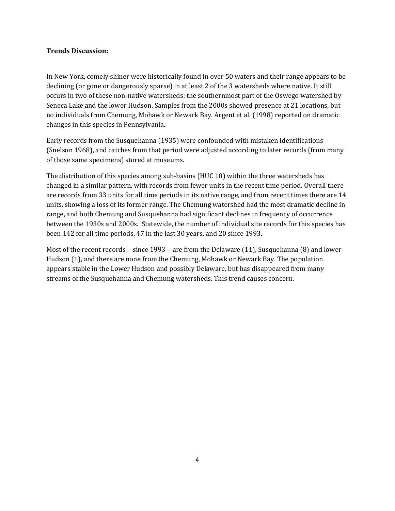## **Trends Discussion:**

In New York, comely shiner were historically found in over 50 waters and their range appears to be declining (or gone or dangerously sparse) in at least 2 of the 3 watersheds where native. It still occurs in two of these non-native watersheds: the southernmost part of the Oswego watershed by Seneca Lake and the lower Hudson. Samples from the 2000s showed presence at 21 locations, but no individuals from Chemung, Mohawk or Newark Bay. Argent et al. (1998) reported on dramatic changes in this species in Pennsylvania.

Early records from the Susquehanna (1935) were confounded with mistaken identifications (Snelson 1968), and catches from that period were adjusted according to later records (from many of those same specimens) stored at museums.

The distribution of this species among sub-basins (HUC 10) within the three watersheds has changed in a similar pattern, with records from fewer units in the recent time period. Overall there are records from 33 units for all time periods in its native range, and from recent times there are 14 units, showing a loss of its former range. The Chemung watershed had the most dramatic decline in range, and both Chemung and Susquehanna had significant declines in frequency of occurrence between the 1930s and 2000s. Statewide, the number of individual site records for this species has been 142 for all time periods, 47 in the last 30 years, and 20 since 1993.

Most of the recent records—since 1993—are from the Delaware (11), Susquehanna (8) and lower Hudson (1), and there are none from the Chemung, Mohawk or Newark Bay. The population appears stable in the Lower Hudson and possibly Delaware, but has disappeared from many streams of the Susquehanna and Chemung watersheds. This trend causes concern.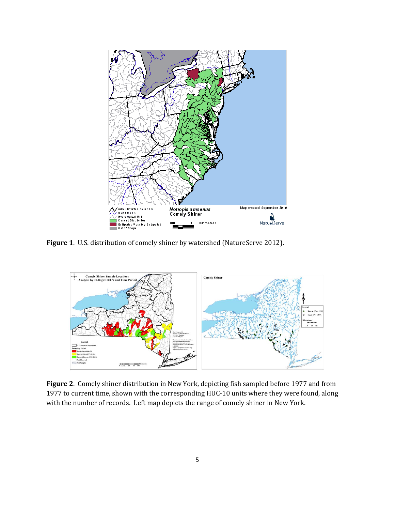

**Figure 1**. U.S. distribution of comely shiner by watershed (NatureServe 2012).



**Figure 2**. Comely shiner distribution in New York, depicting fish sampled before 1977 and from 1977 to current time, shown with the corresponding HUC-10 units where they were found, along with the number of records. Left map depicts the range of comely shiner in New York.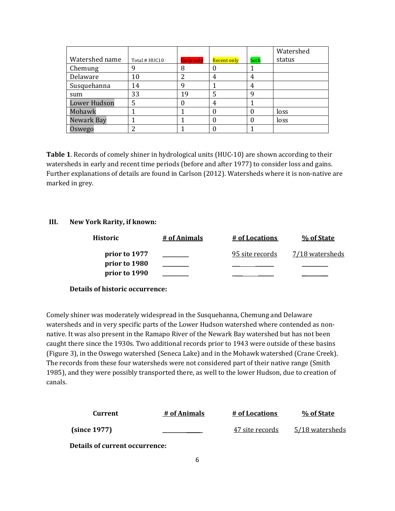|                     |               |                   |             |      | Watershed |
|---------------------|---------------|-------------------|-------------|------|-----------|
| Watershed name      | Total # HUC10 | <b>Early only</b> | Recent only | both | status    |
| Chemung             | q             | 8                 | υ           |      |           |
| Delaware            | 10            | າ                 | 4           | 4    |           |
| Susquehanna         | 14            | ч                 |             |      |           |
| sum                 | 33            | 19                | 5           | q    |           |
| <b>Lower Hudson</b> | 5             | 0                 | 4           |      |           |
| Mohawk              |               |                   | O           |      | loss      |
| Newark Bay          |               |                   | 0           |      | loss      |
| Oswego              | າ             |                   |             |      |           |

**Table 1**. Records of comely shiner in hydrological units (HUC-10) are shown according to their watersheds in early and recent time periods (before and after 1977) to consider loss and gains. Further explanations of details are found in Carlson (2012). Watersheds where it is non-native are marked in grey.

### **III. New York Rarity, if known:**

| Historic      | # of Animals | # of Locations  | % of State      |
|---------------|--------------|-----------------|-----------------|
| prior to 1977 |              | 95 site records | 7/18 watersheds |
| prior to 1980 |              |                 |                 |
| prior to 1990 |              |                 |                 |

### **Details of historic occurrence:**

Comely shiner was moderately widespread in the Susquehanna, Chemung and Delaware watersheds and in very specific parts of the Lower Hudson watershed where contended as nonnative. It was also present in the Ramapo River of the Newark Bay watershed but has not been caught there since the 1930s. Two additional records prior to 1943 were outside of these basins (Figure 3), in the Oswego watershed (Seneca Lake) and in the Mohawk watershed (Crane Creek). The records from these four watersheds were not considered part of their native range (Smith 1985), and they were possibly transported there, as well to the lower Hudson, due to creation of canals.

| Current                               | # of Animals | # of Locations  | % of State      |
|---------------------------------------|--------------|-----------------|-----------------|
| (since 1977)                          |              | 47 site records | 5/18 watersheds |
| <b>Details of current occurrence:</b> |              |                 |                 |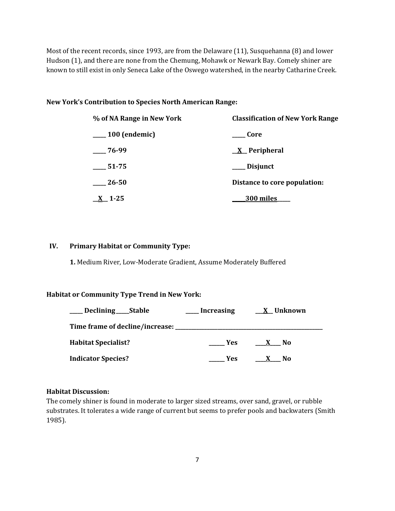Most of the recent records, since 1993, are from the Delaware (11), Susquehanna (8) and lower Hudson (1), and there are none from the Chemung, Mohawk or Newark Bay. Comely shiner are known to still exist in only Seneca Lake of the Oswego watershed, in the nearby Catharine Creek.

#### **New York's Contribution to Species North American Range:**

| % of NA Range in New York | <b>Classification of New York Range</b> |  |  |
|---------------------------|-----------------------------------------|--|--|
| $\sim$ 100 (endemic)      | Core                                    |  |  |
| $-76-99$                  | $\underline{X}$ Peripheral              |  |  |
| 51-75                     | ___ Disjunct                            |  |  |
| 26-50                     | Distance to core population:            |  |  |
| $X_{-}$ 1-25              | <u>300 miles</u>                        |  |  |

## **IV. Primary Habitat or Community Type:**

**1.** Medium River, Low-Moderate Gradient, Assume Moderately Buffered

#### **Habitat or Community Type Trend in New York:**

| Declining ______Stable     | <b>Increasing</b> | <u>X</u> Unknown |
|----------------------------|-------------------|------------------|
|                            |                   |                  |
| <b>Habitat Specialist?</b> | Yes.              | No.              |
| <b>Indicator Species?</b>  | Yes               | No<br>X          |

#### **Habitat Discussion:**

The comely shiner is found in moderate to larger sized streams, over sand, gravel, or rubble substrates. It tolerates a wide range of current but seems to prefer pools and backwaters (Smith 1985).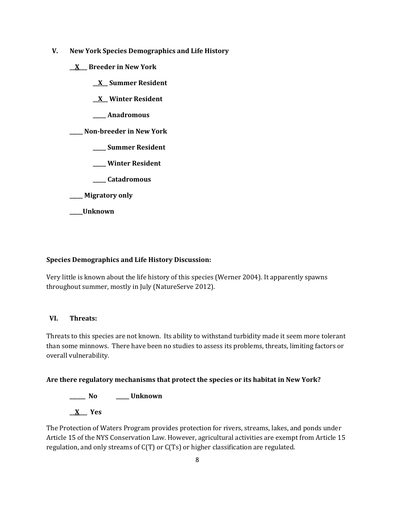- **V. New York Species Demographics and Life History**
	- **\_\_X\_\_\_ Breeder in New York**
		- **\_\_X\_\_ Summer Resident**
		- **\_\_X\_\_ Winter Resident**
		- **\_\_\_\_\_ Anadromous**

**\_\_\_\_\_ Non-breeder in New York**

- **\_\_\_\_\_ Summer Resident**
- **\_\_\_\_\_ Winter Resident**
- **\_\_\_\_\_ Catadromous**
- **\_\_\_\_\_ Migratory only**
- **\_\_\_\_\_Unknown**

## **Species Demographics and Life History Discussion:**

Very little is known about the life history of this species (Werner 2004). It apparently spawns throughout summer, mostly in July (NatureServe 2012).

### **VI. Threats:**

Threats to this species are not known. Its ability to withstand turbidity made it seem more tolerant than some minnows. There have been no studies to assess its problems, threats, limiting factors or overall vulnerability.

## **Are there regulatory mechanisms that protect the species or its habitat in New York?**

**\_\_\_\_\_\_ No \_\_\_\_\_ Unknown \_\_X\_\_\_ Yes** 

The Protection of Waters Program provides protection for rivers, streams, lakes, and ponds under Article 15 of the NYS Conservation Law. However, agricultural activities are exempt from Article 15 regulation, and only streams of C(T) or C(Ts) or higher classification are regulated.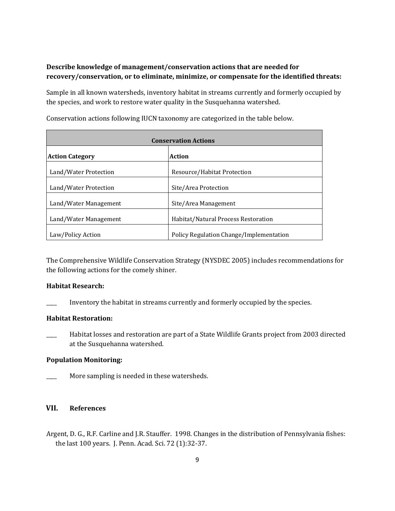## **Describe knowledge of management/conservation actions that are needed for recovery/conservation, or to eliminate, minimize, or compensate for the identified threats:**

Sample in all known watersheds, inventory habitat in streams currently and formerly occupied by the species, and work to restore water quality in the Susquehanna watershed.

| <b>Conservation Actions</b> |                                         |  |
|-----------------------------|-----------------------------------------|--|
| <b>Action Category</b>      | Action                                  |  |
| Land/Water Protection       | Resource/Habitat Protection             |  |
| Land/Water Protection       | Site/Area Protection                    |  |
| Land/Water Management       | Site/Area Management                    |  |
| Land/Water Management       | Habitat/Natural Process Restoration     |  |
| Law/Policy Action           | Policy Regulation Change/Implementation |  |

Conservation actions following IUCN taxonomy are categorized in the table below.

The Comprehensive Wildlife Conservation Strategy (NYSDEC 2005) includes recommendations for the following actions for the comely shiner.

### **Habitat Research:**

Inventory the habitat in streams currently and formerly occupied by the species.

#### **Habitat Restoration:**

Habitat losses and restoration are part of a State Wildlife Grants project from 2003 directed at the Susquehanna watershed.

## **Population Monitoring:**

More sampling is needed in these watersheds.

## **VII. References**

Argent, D. G., R.F. Carline and J.R. Stauffer. 1998. Changes in the distribution of Pennsylvania fishes: the last 100 years. J. Penn. Acad. Sci. 72 (1):32-37.